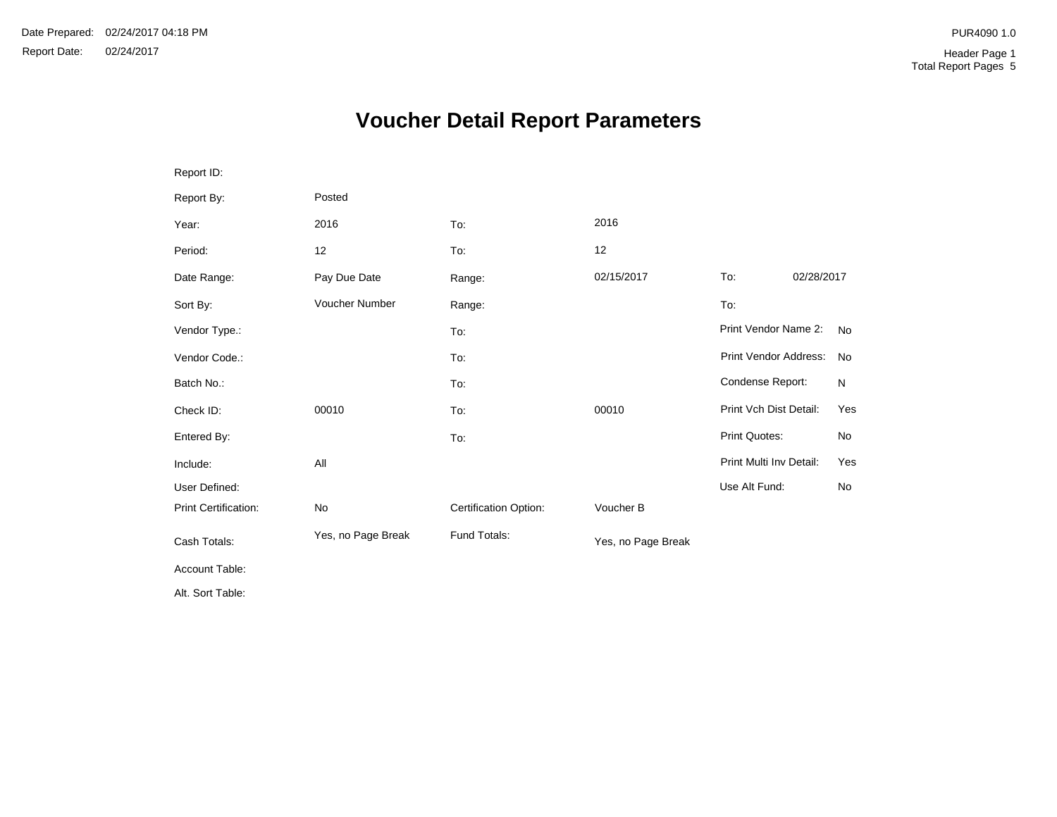# **Voucher Detail Report Parameters**

| Report ID:           |                    |                       |                    |                         |            |           |
|----------------------|--------------------|-----------------------|--------------------|-------------------------|------------|-----------|
| Report By:           | Posted             |                       |                    |                         |            |           |
| Year:                | 2016               | To:                   | 2016               |                         |            |           |
| Period:              | 12                 | To:                   | 12                 |                         |            |           |
| Date Range:          | Pay Due Date       | Range:                | 02/15/2017         | To:                     | 02/28/2017 |           |
| Sort By:             | Voucher Number     | Range:                |                    | To:                     |            |           |
| Vendor Type.:        |                    | To:                   |                    | Print Vendor Name 2:    |            | <b>No</b> |
| Vendor Code.:        |                    | To:                   |                    | Print Vendor Address:   |            | No        |
| Batch No.:           |                    | To:                   |                    | Condense Report:        |            | N         |
| Check ID:            | 00010              | To:                   | 00010              | Print Vch Dist Detail:  |            | Yes       |
| Entered By:          |                    | To:                   |                    | Print Quotes:           |            | No        |
| Include:             | All                |                       |                    | Print Multi Inv Detail: |            | Yes       |
| User Defined:        |                    |                       |                    | Use Alt Fund:           |            | No        |
| Print Certification: | No                 | Certification Option: | Voucher B          |                         |            |           |
| Cash Totals:         | Yes, no Page Break | Fund Totals:          | Yes, no Page Break |                         |            |           |
| Account Table:       |                    |                       |                    |                         |            |           |
| Alt. Sort Table:     |                    |                       |                    |                         |            |           |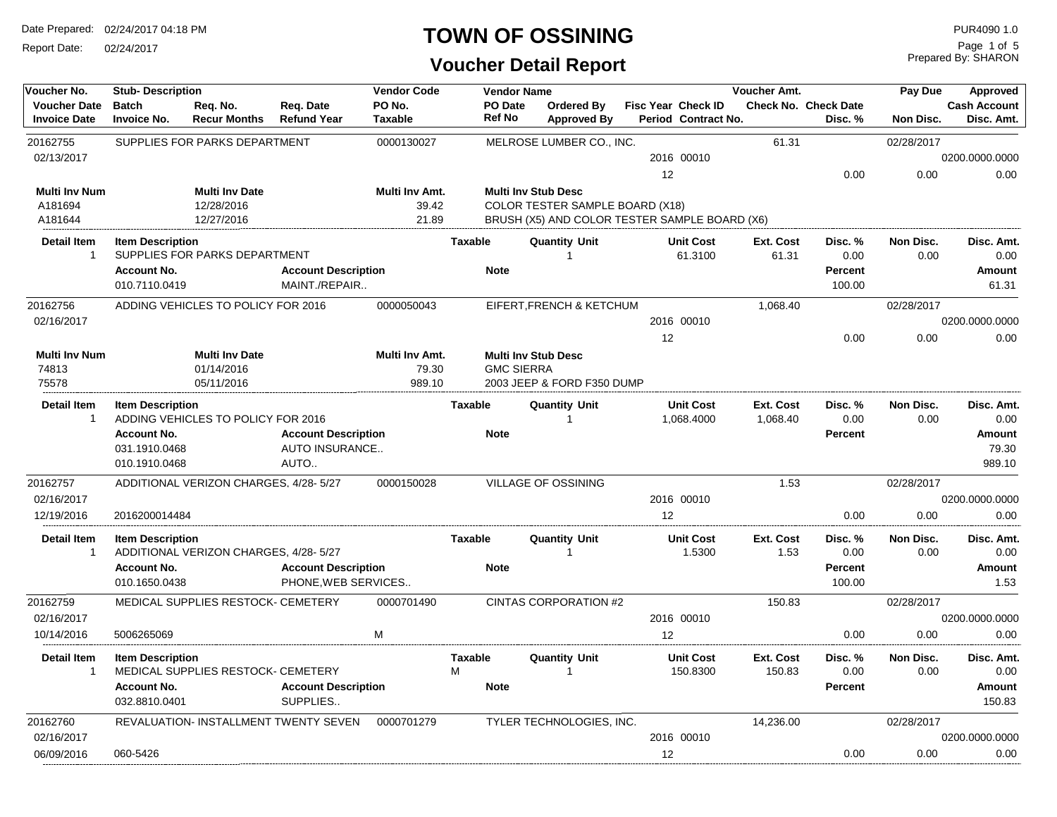Report Date: 02/24/2017

#### **TOWN OF OSSINING**

### **Voucher Detail Report**

| Voucher No.                                | <b>Stub-Description</b>             |                                       |                                        | <b>Vendor Code</b>       |                | <b>Vendor Name</b> |                                               |    |                                           | Voucher Amt. |                                        | Pay Due          | Approved                          |
|--------------------------------------------|-------------------------------------|---------------------------------------|----------------------------------------|--------------------------|----------------|--------------------|-----------------------------------------------|----|-------------------------------------------|--------------|----------------------------------------|------------------|-----------------------------------|
| <b>Voucher Date</b><br><b>Invoice Date</b> | <b>Batch</b><br><b>Invoice No.</b>  | Req. No.<br><b>Recur Months</b>       | Req. Date<br><b>Refund Year</b>        | PO No.<br><b>Taxable</b> |                | PO Date<br>Ref No  | Ordered By<br><b>Approved By</b>              |    | Fisc Year Check ID<br>Period Contract No. |              | <b>Check No. Check Date</b><br>Disc. % | <b>Non Disc.</b> | <b>Cash Account</b><br>Disc. Amt. |
| 20162755                                   |                                     | SUPPLIES FOR PARKS DEPARTMENT         |                                        | 0000130027               |                |                    | MELROSE LUMBER CO., INC.                      |    |                                           | 61.31        |                                        | 02/28/2017       |                                   |
| 02/13/2017                                 |                                     |                                       |                                        |                          |                |                    |                                               |    | 2016 00010                                |              |                                        |                  | 0200.0000.0000                    |
|                                            |                                     |                                       |                                        |                          |                |                    |                                               | 12 |                                           |              | 0.00                                   | 0.00             | 0.00                              |
| <b>Multi Inv Num</b>                       |                                     | <b>Multi Inv Date</b>                 |                                        | Multi Inv Amt.           |                |                    | <b>Multi Inv Stub Desc</b>                    |    |                                           |              |                                        |                  |                                   |
| A181694                                    |                                     | 12/28/2016                            |                                        | 39.42                    |                |                    | <b>COLOR TESTER SAMPLE BOARD (X18)</b>        |    |                                           |              |                                        |                  |                                   |
| A181644                                    |                                     | 12/27/2016                            |                                        | 21.89                    |                |                    | BRUSH (X5) AND COLOR TESTER SAMPLE BOARD (X6) |    |                                           |              |                                        |                  |                                   |
| <b>Detail Item</b><br>$\overline{1}$       | <b>Item Description</b>             |                                       |                                        |                          | <b>Taxable</b> |                    | <b>Quantity Unit</b><br>-1                    |    | <b>Unit Cost</b>                          | Ext. Cost    | Disc. %                                | Non Disc.        | Disc. Amt.                        |
|                                            | <b>Account No.</b>                  | SUPPLIES FOR PARKS DEPARTMENT         | <b>Account Description</b>             |                          | <b>Note</b>    |                    |                                               |    | 61.3100                                   | 61.31        | 0.00<br>Percent                        | 0.00             | 0.00<br>Amount                    |
|                                            | 010.7110.0419                       |                                       | MAINT./REPAIR                          |                          |                |                    |                                               |    |                                           |              | 100.00                                 |                  | 61.31                             |
| 20162756                                   |                                     | ADDING VEHICLES TO POLICY FOR 2016    |                                        | 0000050043               |                |                    | EIFERT, FRENCH & KETCHUM                      |    |                                           | 1,068.40     |                                        | 02/28/2017       |                                   |
| 02/16/2017                                 |                                     |                                       |                                        |                          |                |                    |                                               |    | 2016 00010                                |              |                                        |                  | 0200.0000.0000                    |
|                                            |                                     |                                       |                                        |                          |                |                    |                                               | 12 |                                           |              | 0.00                                   | 0.00             | 0.00                              |
| <b>Multi Inv Num</b>                       |                                     | <b>Multi Inv Date</b>                 |                                        | Multi Inv Amt.           |                |                    | <b>Multi Inv Stub Desc</b>                    |    |                                           |              |                                        |                  |                                   |
| 74813                                      |                                     | 01/14/2016                            |                                        | 79.30                    |                | <b>GMC SIERRA</b>  |                                               |    |                                           |              |                                        |                  |                                   |
| 75578                                      |                                     | 05/11/2016                            |                                        | 989.10                   |                |                    | 2003 JEEP & FORD F350 DUMP                    |    |                                           |              |                                        |                  |                                   |
| <b>Detail Item</b>                         | <b>Item Description</b>             |                                       |                                        |                          | <b>Taxable</b> |                    | <b>Quantity Unit</b>                          |    | <b>Unit Cost</b>                          | Ext. Cost    | Disc. %                                | Non Disc.        | Disc. Amt.                        |
| $\overline{1}$                             |                                     | ADDING VEHICLES TO POLICY FOR 2016    |                                        |                          |                |                    |                                               |    | 1,068.4000                                | 1,068.40     | 0.00                                   | 0.00             | 0.00                              |
|                                            | <b>Account No.</b>                  |                                       | <b>Account Description</b>             |                          | <b>Note</b>    |                    |                                               |    |                                           |              | <b>Percent</b>                         |                  | Amount                            |
|                                            | 031.1910.0468                       |                                       | AUTO INSURANCE                         |                          |                |                    |                                               |    |                                           |              |                                        |                  | 79.30                             |
|                                            | 010.1910.0468                       |                                       | AUTO                                   |                          |                |                    |                                               |    |                                           |              |                                        |                  | 989.10                            |
| 20162757                                   |                                     | ADDITIONAL VERIZON CHARGES, 4/28-5/27 |                                        | 0000150028               |                |                    | <b>VILLAGE OF OSSINING</b>                    |    |                                           | 1.53         |                                        | 02/28/2017       |                                   |
| 02/16/2017                                 |                                     |                                       |                                        |                          |                |                    |                                               |    | 2016 00010                                |              |                                        |                  | 0200.0000.0000                    |
| 12/19/2016                                 | 2016200014484                       |                                       |                                        |                          |                |                    |                                               | 12 |                                           |              | 0.00                                   | 0.00             | 0.00                              |
| <b>Detail Item</b>                         | <b>Item Description</b>             |                                       |                                        |                          | <b>Taxable</b> |                    | <b>Quantity Unit</b>                          |    | <b>Unit Cost</b>                          | Ext. Cost    | Disc. %                                | Non Disc.        | Disc. Amt.                        |
| -1                                         |                                     | ADDITIONAL VERIZON CHARGES, 4/28-5/27 |                                        |                          |                |                    |                                               |    | 1.5300                                    | 1.53         | 0.00                                   | 0.00             | 0.00                              |
|                                            | <b>Account No.</b>                  |                                       | <b>Account Description</b>             |                          | <b>Note</b>    |                    |                                               |    |                                           |              | <b>Percent</b>                         |                  | Amount                            |
|                                            | 010.1650.0438                       |                                       | PHONE, WEB SERVICES                    |                          |                |                    |                                               |    |                                           |              | 100.00                                 |                  | 1.53                              |
| 20162759                                   |                                     | MEDICAL SUPPLIES RESTOCK- CEMETERY    |                                        | 0000701490               |                |                    | CINTAS CORPORATION #2                         |    |                                           | 150.83       |                                        | 02/28/2017       |                                   |
| 02/16/2017                                 |                                     |                                       |                                        |                          |                |                    |                                               |    | 2016 00010                                |              |                                        |                  | 0200.0000.0000                    |
| 10/14/2016                                 | 5006265069                          |                                       |                                        | M                        |                |                    |                                               | 12 |                                           |              | 0.00                                   | 0.00             | 0.00                              |
| <b>Detail Item</b>                         | <b>Item Description</b>             |                                       |                                        |                          | <b>Taxable</b> |                    | <b>Quantity Unit</b>                          |    | <b>Unit Cost</b>                          | Ext. Cost    | Disc. %                                | Non Disc.        | Disc. Amt.                        |
| -1                                         |                                     | MEDICAL SUPPLIES RESTOCK- CEMETERY    |                                        |                          | M              |                    | 1                                             |    | 150.8300                                  | 150.83       | 0.00                                   | 0.00             | 0.00                              |
|                                            | <b>Account No.</b><br>032.8810.0401 |                                       | <b>Account Description</b><br>SUPPLIES |                          | <b>Note</b>    |                    |                                               |    |                                           |              | <b>Percent</b>                         |                  | <b>Amount</b><br>150.83           |
|                                            |                                     |                                       |                                        |                          |                |                    |                                               |    |                                           |              |                                        |                  |                                   |
| 20162760                                   |                                     |                                       | REVALUATION- INSTALLMENT TWENTY SEVEN  | 0000701279               |                |                    | TYLER TECHNOLOGIES, INC.                      |    |                                           | 14,236.00    |                                        | 02/28/2017       |                                   |
| 02/16/2017<br>06/09/2016                   | 060-5426                            |                                       |                                        |                          |                |                    |                                               | 12 | 2016 00010                                |              | 0.00                                   | 0.00             | 0200.0000.0000<br>0.00            |
|                                            |                                     |                                       |                                        |                          |                |                    |                                               |    |                                           |              |                                        |                  |                                   |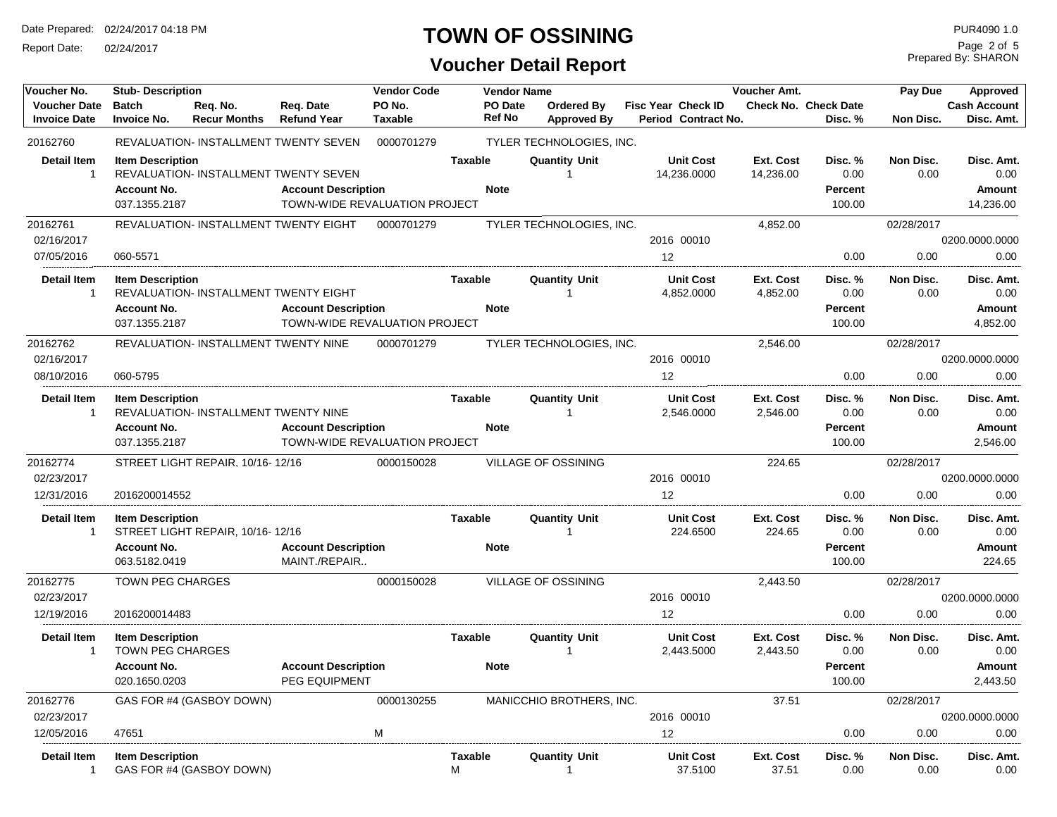Report Date: 02/24/2017

### **TOWN OF OSSINING**

**Voucher Detail Report**

Prepared By: SHARON Page 2 of 5

| Voucher No.                                | <b>Stub- Description</b>                                       |                                       |                                                                                                             | <b>Vendor Code</b>       |                               | <b>Vendor Name</b> |                                         |                                                  | <b>Voucher Amt.</b>          |                                             | Pay Due                  | Approved                                         |
|--------------------------------------------|----------------------------------------------------------------|---------------------------------------|-------------------------------------------------------------------------------------------------------------|--------------------------|-------------------------------|--------------------|-----------------------------------------|--------------------------------------------------|------------------------------|---------------------------------------------|--------------------------|--------------------------------------------------|
| <b>Voucher Date</b><br><b>Invoice Date</b> | <b>Batch</b><br><b>Invoice No.</b>                             | Reg. No.<br><b>Recur Months</b>       | Req. Date<br><b>Refund Year</b>                                                                             | PO No.<br><b>Taxable</b> | <b>Ref No</b>                 | PO Date            | <b>Ordered By</b><br><b>Approved By</b> | <b>Fisc Year Check ID</b><br>Period Contract No. |                              | <b>Check No. Check Date</b><br>Disc. %      | Non Disc.                | <b>Cash Account</b><br>Disc. Amt.                |
| 20162760                                   |                                                                |                                       | REVALUATION- INSTALLMENT TWENTY SEVEN                                                                       | 0000701279               |                               |                    | TYLER TECHNOLOGIES, INC.                |                                                  |                              |                                             |                          |                                                  |
| <b>Detail Item</b><br>$\overline{1}$       | <b>Item Description</b><br><b>Account No.</b><br>037.1355.2187 |                                       | <b>REVALUATION- INSTALLMENT TWENTY SEVEN</b><br><b>Account Description</b><br>TOWN-WIDE REVALUATION PROJECT |                          | <b>Taxable</b><br><b>Note</b> |                    | <b>Quantity Unit</b><br>$\mathbf{1}$    | <b>Unit Cost</b><br>14,236.0000                  | Ext. Cost<br>14,236.00       | Disc. %<br>0.00<br>Percent<br>100.00        | Non Disc.<br>0.00        | Disc. Amt.<br>0.00<br><b>Amount</b><br>14,236.00 |
| 20162761                                   |                                                                | REVALUATION- INSTALLMENT TWENTY EIGHT |                                                                                                             | 0000701279               |                               |                    | TYLER TECHNOLOGIES, INC.                |                                                  | 4,852.00                     |                                             | 02/28/2017               |                                                  |
| 02/16/2017                                 |                                                                |                                       |                                                                                                             |                          |                               |                    |                                         | 2016 00010                                       |                              |                                             |                          | 0200.0000.0000                                   |
| 07/05/2016                                 | 060-5571                                                       |                                       |                                                                                                             |                          |                               |                    |                                         | 12                                               |                              | 0.00                                        | 0.00                     | 0.00                                             |
| <b>Detail Item</b><br>$\overline{1}$       | <b>Item Description</b><br><b>Account No.</b><br>037.1355.2187 | REVALUATION- INSTALLMENT TWENTY EIGHT | <b>Account Description</b><br>TOWN-WIDE REVALUATION PROJECT                                                 |                          | <b>Taxable</b><br><b>Note</b> |                    | <b>Quantity Unit</b><br>-1              | <b>Unit Cost</b><br>4,852.0000                   | <b>Ext. Cost</b><br>4,852.00 | Disc. %<br>0.00<br><b>Percent</b><br>100.00 | Non Disc.<br>0.00        | Disc. Amt.<br>0.00<br><b>Amount</b><br>4,852.00  |
| 20162762                                   |                                                                | REVALUATION- INSTALLMENT TWENTY NINE  |                                                                                                             | 0000701279               |                               |                    | TYLER TECHNOLOGIES, INC.                |                                                  | 2,546.00                     |                                             | 02/28/2017               |                                                  |
| 02/16/2017                                 |                                                                |                                       |                                                                                                             |                          |                               |                    |                                         | 2016 00010                                       |                              |                                             |                          | 0200.0000.0000                                   |
| 08/10/2016                                 | 060-5795                                                       |                                       |                                                                                                             |                          |                               |                    |                                         | 12                                               |                              | 0.00                                        | 0.00                     | 0.00                                             |
| <b>Detail Item</b><br>-1                   | <b>Item Description</b>                                        | REVALUATION- INSTALLMENT TWENTY NINE  |                                                                                                             |                          | Taxable                       |                    | <b>Quantity Unit</b>                    | <b>Unit Cost</b><br>2,546.0000                   | Ext. Cost<br>2,546.00        | Disc. %<br>0.00                             | Non Disc.<br>0.00        | Disc. Amt.<br>0.00                               |
|                                            | <b>Account No.</b><br>037.1355.2187                            |                                       | <b>Account Description</b><br>TOWN-WIDE REVALUATION PROJECT                                                 |                          | <b>Note</b>                   |                    |                                         |                                                  |                              | Percent<br>100.00                           |                          | <b>Amount</b><br>2.546.00                        |
| 20162774                                   |                                                                | STREET LIGHT REPAIR, 10/16-12/16      |                                                                                                             | 0000150028               |                               |                    | <b>VILLAGE OF OSSINING</b>              |                                                  | 224.65                       |                                             | 02/28/2017               |                                                  |
| 02/23/2017                                 |                                                                |                                       |                                                                                                             |                          |                               |                    |                                         | 2016 00010                                       |                              |                                             |                          | 0200.0000.0000                                   |
| 12/31/2016                                 | 2016200014552                                                  |                                       |                                                                                                             |                          |                               |                    |                                         | 12                                               |                              | 0.00                                        | 0.00                     | 0.00                                             |
| <b>Detail Item</b><br>$\overline{1}$       | <b>Item Description</b>                                        | STREET LIGHT REPAIR, 10/16-12/16      |                                                                                                             |                          | Taxable                       |                    | <b>Quantity Unit</b><br>-1              | <b>Unit Cost</b><br>224.6500                     | Ext. Cost<br>224.65          | Disc. %<br>0.00                             | Non Disc.<br>0.00        | Disc. Amt.<br>0.00                               |
|                                            | <b>Account No.</b><br>063.5182.0419                            |                                       | <b>Account Description</b><br>MAINT./REPAIR                                                                 |                          | <b>Note</b>                   |                    |                                         |                                                  |                              | Percent<br>100.00                           |                          | <b>Amount</b><br>224.65                          |
| 20162775                                   | <b>TOWN PEG CHARGES</b>                                        |                                       |                                                                                                             | 0000150028               |                               |                    | <b>VILLAGE OF OSSINING</b>              |                                                  | 2,443.50                     |                                             | 02/28/2017               |                                                  |
| 02/23/2017                                 |                                                                |                                       |                                                                                                             |                          |                               |                    |                                         | 2016 00010                                       |                              |                                             |                          | 0200.0000.0000                                   |
| 12/19/2016                                 | 2016200014483                                                  |                                       |                                                                                                             |                          |                               |                    |                                         | 12                                               |                              | 0.00                                        | 0.00                     | 0.00                                             |
| <b>Detail Item</b><br>$\overline{1}$       | <b>Item Description</b><br><b>TOWN PEG CHARGES</b>             |                                       |                                                                                                             |                          | <b>Taxable</b>                |                    | <b>Quantity Unit</b><br>-1              | <b>Unit Cost</b><br>2,443.5000                   | <b>Ext. Cost</b><br>2,443.50 | Disc. %<br>0.00                             | <b>Non Disc.</b><br>0.00 | Disc. Amt.<br>0.00                               |
|                                            | <b>Account No.</b><br>020.1650.0203                            |                                       | <b>Account Description</b><br>PEG EQUIPMENT                                                                 |                          | <b>Note</b>                   |                    |                                         |                                                  |                              | Percent<br>100.00                           |                          | <b>Amount</b><br>2,443.50                        |
| 20162776                                   |                                                                | GAS FOR #4 (GASBOY DOWN)              |                                                                                                             | 0000130255               |                               |                    | MANICCHIO BROTHERS, INC.                |                                                  | 37.51                        |                                             | 02/28/2017               |                                                  |
| 02/23/2017                                 |                                                                |                                       |                                                                                                             |                          |                               |                    |                                         | 2016 00010                                       |                              |                                             |                          | 0200.0000.0000                                   |
| 12/05/2016                                 | 47651                                                          |                                       |                                                                                                             | M                        |                               |                    |                                         | 12                                               |                              | 0.00                                        | 0.00                     | 0.00                                             |
| <b>Detail Item</b><br>$\overline{1}$       | <b>Item Description</b>                                        | GAS FOR #4 (GASBOY DOWN)              |                                                                                                             |                          | <b>Taxable</b><br>м           |                    | <b>Quantity Unit</b><br>-1              | <b>Unit Cost</b><br>37.5100                      | Ext. Cost<br>37.51           | Disc. %<br>0.00                             | <b>Non Disc.</b><br>0.00 | Disc. Amt.<br>0.00                               |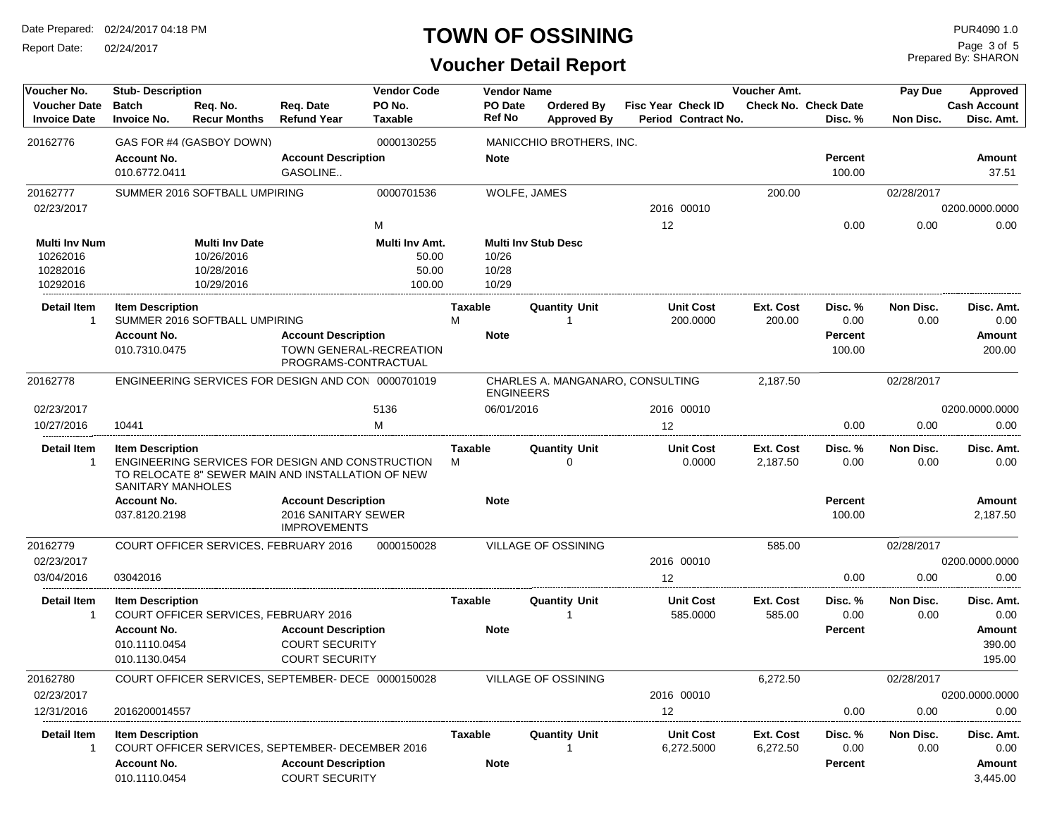Report Date: 02/24/2017

### **TOWN OF OSSINING**

Prepared By: SHARON Page 3 of 5

### **Voucher Detail Report**

| Voucher No.                                | <b>Stub-Description</b>                                        |                                              |                                                                                                         | <b>Vendor Code</b>       |                     | <b>Vendor Name</b>       |                                  |    |                                                  | Voucher Amt.          |                                        | Pay Due           | Approved                                        |
|--------------------------------------------|----------------------------------------------------------------|----------------------------------------------|---------------------------------------------------------------------------------------------------------|--------------------------|---------------------|--------------------------|----------------------------------|----|--------------------------------------------------|-----------------------|----------------------------------------|-------------------|-------------------------------------------------|
| <b>Voucher Date</b><br><b>Invoice Date</b> | <b>Batch</b><br><b>Invoice No.</b>                             | Req. No.<br><b>Recur Months</b>              | Reg. Date<br><b>Refund Year</b>                                                                         | PO No.<br><b>Taxable</b> |                     | <b>PO</b> Date<br>Ref No | Ordered By<br><b>Approved By</b> |    | <b>Fisc Year Check ID</b><br>Period Contract No. |                       | <b>Check No. Check Date</b><br>Disc. % | Non Disc.         | <b>Cash Account</b><br>Disc. Amt.               |
| 20162776                                   |                                                                | GAS FOR #4 (GASBOY DOWN)                     |                                                                                                         | 0000130255               |                     |                          | MANICCHIO BROTHERS, INC.         |    |                                                  |                       |                                        |                   |                                                 |
|                                            | <b>Account No.</b><br>010.6772.0411                            |                                              | <b>Account Description</b><br>GASOLINE                                                                  |                          |                     | <b>Note</b>              |                                  |    |                                                  |                       | <b>Percent</b><br>100.00               |                   | Amount<br>37.51                                 |
| 20162777                                   |                                                                | SUMMER 2016 SOFTBALL UMPIRING                |                                                                                                         | 0000701536               |                     | WOLFE, JAMES             |                                  |    |                                                  | 200.00                |                                        | 02/28/2017        |                                                 |
| 02/23/2017                                 |                                                                |                                              |                                                                                                         |                          |                     |                          |                                  |    | 2016 00010                                       |                       |                                        |                   | 0200.0000.0000                                  |
|                                            |                                                                |                                              |                                                                                                         | м                        |                     |                          |                                  | 12 |                                                  |                       | 0.00                                   | 0.00              | 0.00                                            |
| Multi Inv Num                              |                                                                | <b>Multi Inv Date</b>                        |                                                                                                         | Multi Inv Amt.           |                     |                          | <b>Multi Inv Stub Desc</b>       |    |                                                  |                       |                                        |                   |                                                 |
| 10262016                                   |                                                                | 10/26/2016                                   |                                                                                                         | 50.00                    |                     | 10/26                    |                                  |    |                                                  |                       |                                        |                   |                                                 |
| 10282016                                   |                                                                | 10/28/2016                                   |                                                                                                         | 50.00                    |                     | 10/28                    |                                  |    |                                                  |                       |                                        |                   |                                                 |
| 10292016                                   |                                                                | 10/29/2016                                   |                                                                                                         | 100.00                   |                     | 10/29                    |                                  |    |                                                  |                       |                                        |                   |                                                 |
| <b>Detail Item</b><br>1                    | <b>Item Description</b>                                        | SUMMER 2016 SOFTBALL UMPIRING                |                                                                                                         |                          | <b>Taxable</b><br>М |                          | <b>Quantity Unit</b>             |    | <b>Unit Cost</b><br>200.0000                     | Ext. Cost<br>200.00   | Disc. %<br>0.00                        | Non Disc.<br>0.00 | Disc. Amt.<br>0.00                              |
|                                            | <b>Account No.</b>                                             |                                              | <b>Account Description</b>                                                                              |                          |                     | <b>Note</b>              |                                  |    |                                                  |                       | Percent                                |                   | Amount                                          |
|                                            | 010.7310.0475                                                  |                                              | TOWN GENERAL-RECREATION<br>PROGRAMS-CONTRACTUAL                                                         |                          |                     |                          |                                  |    |                                                  |                       | 100.00                                 |                   | 200.00                                          |
| 20162778                                   |                                                                |                                              | ENGINEERING SERVICES FOR DESIGN AND CON 0000701019                                                      |                          |                     | <b>ENGINEERS</b>         | CHARLES A. MANGANARO, CONSULTING |    |                                                  | 2,187.50              |                                        | 02/28/2017        |                                                 |
| 02/23/2017                                 |                                                                |                                              |                                                                                                         | 5136                     |                     | 06/01/2016               |                                  |    | 2016 00010                                       |                       |                                        |                   | 0200.0000.0000                                  |
| 10/27/2016                                 | 10441                                                          |                                              |                                                                                                         | М                        |                     |                          |                                  | 12 |                                                  |                       | 0.00                                   | 0.00              | 0.00                                            |
| <b>Detail Item</b><br>1                    | <b>Item Description</b><br>SANITARY MANHOLES                   |                                              | ENGINEERING SERVICES FOR DESIGN AND CONSTRUCTION<br>TO RELOCATE 8" SEWER MAIN AND INSTALLATION OF NEW   |                          | Taxable<br>м        |                          | <b>Quantity Unit</b><br>$\Omega$ |    | <b>Unit Cost</b><br>0.0000                       | Ext. Cost<br>2,187.50 | Disc. %<br>0.00                        | Non Disc.<br>0.00 | Disc. Amt.<br>0.00                              |
|                                            | <b>Account No.</b>                                             |                                              | <b>Account Description</b>                                                                              |                          |                     | <b>Note</b>              |                                  |    |                                                  |                       | Percent                                |                   | Amount                                          |
|                                            | 037.8120.2198                                                  |                                              | 2016 SANITARY SEWER<br><b>IMPROVEMENTS</b>                                                              |                          |                     |                          |                                  |    |                                                  |                       | 100.00                                 |                   | 2,187.50                                        |
| 20162779                                   |                                                                | <b>COURT OFFICER SERVICES, FEBRUARY 2016</b> |                                                                                                         | 0000150028               |                     |                          | VILLAGE OF OSSINING              |    |                                                  | 585.00                |                                        | 02/28/2017        |                                                 |
| 02/23/2017                                 |                                                                |                                              |                                                                                                         |                          |                     |                          |                                  |    | 2016 00010                                       |                       |                                        |                   | 0200.0000.0000                                  |
| 03/04/2016                                 | 03042016                                                       |                                              |                                                                                                         |                          |                     |                          |                                  | 12 |                                                  |                       | 0.00                                   | 0.00              | 0.00                                            |
| <b>Detail Item</b><br>1                    | <b>Item Description</b>                                        | COURT OFFICER SERVICES, FEBRUARY 2016        |                                                                                                         |                          | Taxable             |                          | <b>Quantity Unit</b>             |    | <b>Unit Cost</b><br>585.0000                     | Ext. Cost<br>585.00   | Disc. %<br>0.00                        | Non Disc.<br>0.00 | Disc. Amt.<br>0.00                              |
|                                            | <b>Account No.</b>                                             |                                              | <b>Account Description</b>                                                                              |                          |                     | <b>Note</b>              |                                  |    |                                                  |                       | <b>Percent</b>                         |                   | Amount                                          |
|                                            | 010.1110.0454                                                  |                                              | <b>COURT SECURITY</b>                                                                                   |                          |                     |                          |                                  |    |                                                  |                       |                                        |                   | 390.00                                          |
|                                            | 010.1130.0454                                                  |                                              | <b>COURT SECURITY</b>                                                                                   |                          |                     |                          |                                  |    |                                                  |                       |                                        |                   | 195.00                                          |
| 20162780                                   |                                                                |                                              | COURT OFFICER SERVICES, SEPTEMBER- DECE 0000150028                                                      |                          |                     |                          | <b>VILLAGE OF OSSINING</b>       |    |                                                  | 6,272.50              |                                        | 02/28/2017        |                                                 |
| 02/23/2017                                 |                                                                |                                              |                                                                                                         |                          |                     |                          |                                  |    | 2016 00010                                       |                       |                                        |                   | 0200.0000.0000                                  |
| 12/31/2016                                 | 2016200014557                                                  |                                              |                                                                                                         |                          |                     |                          |                                  | 12 |                                                  |                       | 0.00                                   | 0.00              | 0.00                                            |
| <b>Detail Item</b><br>$\mathbf 1$          | <b>Item Description</b><br><b>Account No.</b><br>010.1110.0454 |                                              | COURT OFFICER SERVICES, SEPTEMBER- DECEMBER 2016<br><b>Account Description</b><br><b>COURT SECURITY</b> |                          | Taxable             | <b>Note</b>              | <b>Quantity Unit</b>             |    | <b>Unit Cost</b><br>6,272.5000                   | Ext. Cost<br>6,272.50 | Disc. %<br>0.00<br><b>Percent</b>      | Non Disc.<br>0.00 | Disc. Amt.<br>0.00<br><b>Amount</b><br>3,445.00 |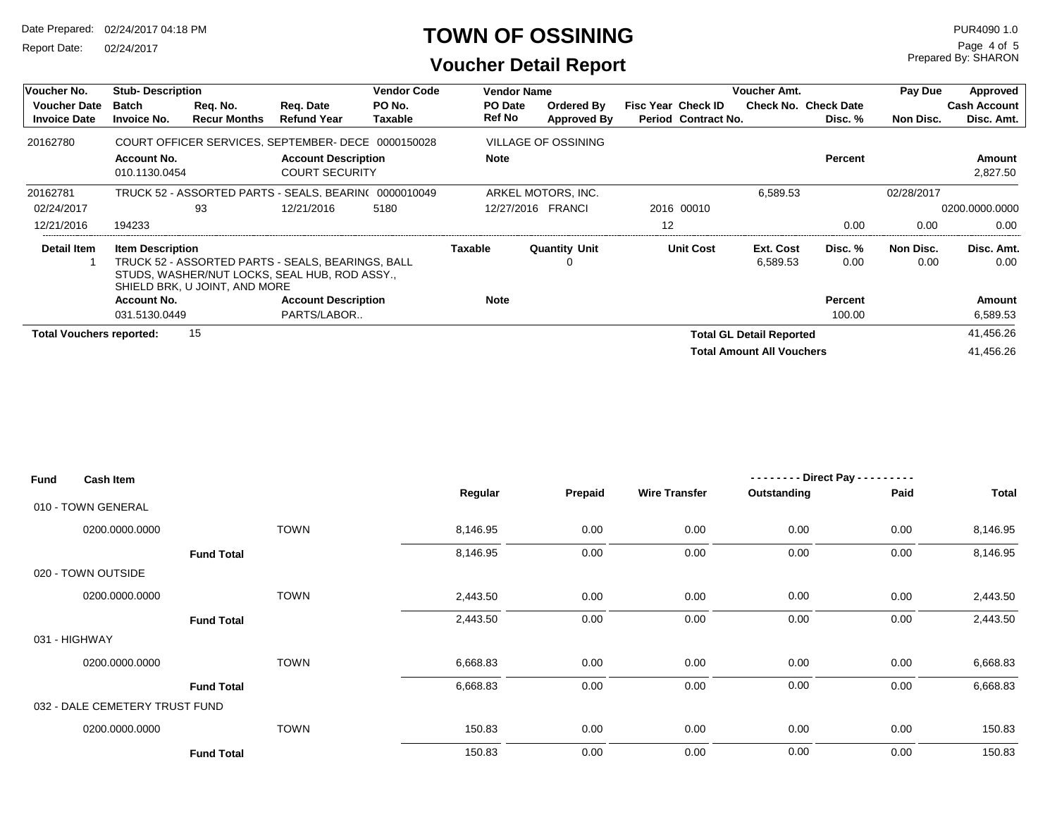Report Date: 02/24/2017

#### **TOWN OF OSSINING**

Prepared By: SHARON Page 4 of 5

#### **Voucher Detail Report**

| Voucher No.                                | <b>Stub-Description</b>             |                                 |                                                                                                    | <b>Vendor Code</b> | <b>Vendor Name</b> |                            |                                                  | <b>Voucher Amt.</b>              |                                        | Pay Due           | Approved                          |
|--------------------------------------------|-------------------------------------|---------------------------------|----------------------------------------------------------------------------------------------------|--------------------|--------------------|----------------------------|--------------------------------------------------|----------------------------------|----------------------------------------|-------------------|-----------------------------------|
| <b>Voucher Date</b><br><b>Invoice Date</b> | Batch<br><b>Invoice No.</b>         | Reg. No.<br><b>Recur Months</b> | Reg. Date<br><b>Refund Year</b>                                                                    | PO No.<br>Taxable  | PO Date<br>Ref No  | Ordered By<br>Approved By  | <b>Fisc Year Check ID</b><br>Period Contract No. |                                  | <b>Check No. Check Date</b><br>Disc. % | Non Disc.         | <b>Cash Account</b><br>Disc. Amt. |
| 20162780                                   |                                     |                                 | COURT OFFICER SERVICES, SEPTEMBER- DECE 0000150028                                                 |                    |                    | <b>VILLAGE OF OSSINING</b> |                                                  |                                  |                                        |                   |                                   |
|                                            | <b>Account No.</b><br>010.1130.0454 |                                 | <b>Account Description</b><br><b>COURT SECURITY</b>                                                |                    | <b>Note</b>        |                            |                                                  |                                  | <b>Percent</b>                         |                   | Amount<br>2,827.50                |
| 20162781                                   |                                     |                                 | TRUCK 52 - ASSORTED PARTS - SEALS, BEARIN( 0000010049                                              |                    |                    | ARKEL MOTORS, INC.         |                                                  | 6,589.53                         |                                        | 02/28/2017        |                                   |
| 02/24/2017                                 |                                     | 93                              | 12/21/2016                                                                                         | 5180               |                    | 12/27/2016 FRANCI          | 2016 00010                                       |                                  |                                        |                   | 0200.0000.0000                    |
| 12/21/2016                                 | 194233                              |                                 |                                                                                                    |                    |                    |                            | 12                                               |                                  | 0.00                                   | 0.00              | 0.00                              |
| Detail Item                                | <b>Item Description</b>             | SHIELD BRK, U JOINT, AND MORE   | TRUCK 52 - ASSORTED PARTS - SEALS, BEARINGS, BALL<br>STUDS, WASHER/NUT LOCKS, SEAL HUB, ROD ASSY., |                    | <b>Taxable</b>     | <b>Quantity Unit</b>       | <b>Unit Cost</b>                                 | Ext. Cost<br>6,589.53            | Disc. %<br>0.00                        | Non Disc.<br>0.00 | Disc. Amt.<br>0.00                |
|                                            | <b>Account No.</b>                  |                                 | <b>Account Description</b>                                                                         |                    | Note               |                            |                                                  |                                  | <b>Percent</b>                         |                   | Amount                            |
|                                            | 031.5130.0449                       |                                 | PARTS/LABOR                                                                                        |                    |                    |                            |                                                  |                                  | 100.00                                 |                   | 6,589.53                          |
| <b>Total Vouchers reported:</b>            |                                     | 15                              |                                                                                                    |                    |                    |                            |                                                  | <b>Total GL Detail Reported</b>  |                                        |                   | 41,456.26                         |
|                                            |                                     |                                 |                                                                                                    |                    |                    |                            |                                                  | <b>Total Amount All Vouchers</b> |                                        |                   | 41.456.26                         |

| <b>Fund</b> | <b>Cash Item</b>               |                   |          |         |                      | -------- Direct Pay -- | ----- |              |
|-------------|--------------------------------|-------------------|----------|---------|----------------------|------------------------|-------|--------------|
|             |                                |                   | Regular  | Prepaid | <b>Wire Transfer</b> | Outstanding            | Paid  | <b>Total</b> |
|             | 010 - TOWN GENERAL             |                   |          |         |                      |                        |       |              |
|             | 0200.0000.0000                 | <b>TOWN</b>       | 8,146.95 | 0.00    | 0.00                 | 0.00                   | 0.00  | 8,146.95     |
|             |                                | <b>Fund Total</b> | 8,146.95 | 0.00    | 0.00                 | 0.00                   | 0.00  | 8,146.95     |
|             | 020 - TOWN OUTSIDE             |                   |          |         |                      |                        |       |              |
|             | 0200.0000.0000                 | <b>TOWN</b>       | 2,443.50 | 0.00    | 0.00                 | 0.00                   | 0.00  | 2,443.50     |
|             |                                | <b>Fund Total</b> | 2,443.50 | 0.00    | 0.00                 | 0.00                   | 0.00  | 2,443.50     |
|             | 031 - HIGHWAY                  |                   |          |         |                      |                        |       |              |
|             | 0200.0000.0000                 | <b>TOWN</b>       | 6,668.83 | 0.00    | 0.00                 | 0.00                   | 0.00  | 6,668.83     |
|             |                                | <b>Fund Total</b> | 6,668.83 | 0.00    | 0.00                 | 0.00                   | 0.00  | 6,668.83     |
|             | 032 - DALE CEMETERY TRUST FUND |                   |          |         |                      |                        |       |              |
|             | 0200.0000.0000                 | <b>TOWN</b>       | 150.83   | 0.00    | 0.00                 | 0.00                   | 0.00  | 150.83       |
|             |                                | <b>Fund Total</b> | 150.83   | 0.00    | 0.00                 | 0.00                   | 0.00  | 150.83       |